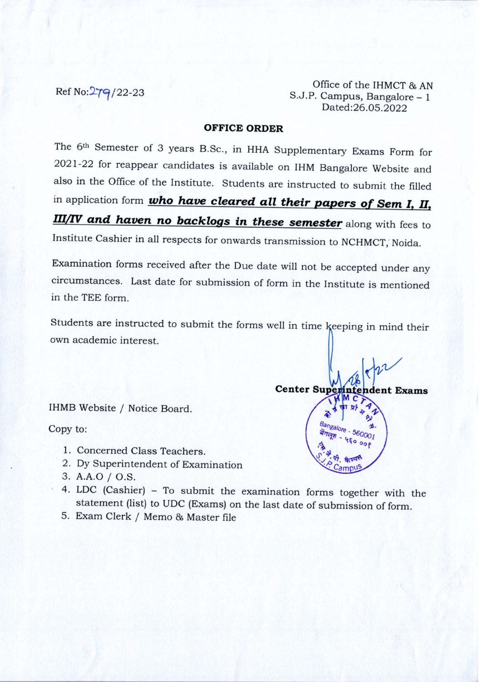Office of the IHMCT & AN<br>
Ref No: $\frac{279}{22-23}$  S.J.P. Campus, Bangalore – 1 S.J.P. Campus, Bangalore - 1 Dated:26.O5.2022

Center Superintendent Exams

**Propriet &** 

 $\frac{1}{4}$   $\frac{1}{10000}$  .  $\frac{1}{10000}$  .  $\frac{1}{10000}$  .  $4^{10}$  . 4 fo oof  $x \nleftrightarrow x$  a fuel

#### OFFICE ORDER

The 6<sup>th</sup> Semester of 3 years B.Sc., in HHA Supplementary Exams Form for 2o2l-22 for reappear candidates is available on IHM Bangalore website and also in the office of the Institute. students are instructed to submit the filled in application form *who have cleared all their papers of Sem I, II,* III/IV and haven no backlogs in these semester along with fees to Institute cashier in all respects for onwards transmission to NCHMCT, Noida.

Examination forms received after the Due date will not be accepted under any circumstances. Last date for submission of form in the Institute is mentioned in the TEE form.

Students are instructed to submit the forms well in time keeping in mind their own academic interest.

IHMB Website / Notice Board.

Copy to:

- 1. Concerned Class Teachers.
- 2. Dy Superintendent of Examination
- 3. A.A.O / O.S.
- 4. LDc (cashier) To submit the examination forms together with the statement (list) to UDC (Exams) on the last date of submission of form.
- 5. Exam Clerk / Memo & Master file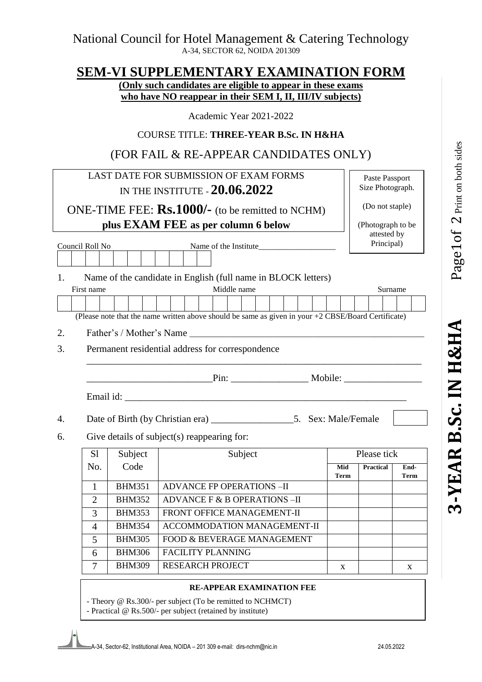## **SEM-VI SUPPLEMENTARY EXAMINATION FORM**

**(Only such candidates are eligible to appear in these exams who have NO reappear in their SEM I, II, III/IV subjects)** 

Academic Year 2021-2022

## COURSE TITLE: **THREE-YEAR B.Sc. IN H&HA**

# (FOR FAIL & RE-APPEAR CANDIDATES ONLY)

|                               |                                                               |               | LAST DATE FOR SUBMISSION OF EXAM FORMS                                                                                                                                                                                               |             | Paste Passport            |              |  |
|-------------------------------|---------------------------------------------------------------|---------------|--------------------------------------------------------------------------------------------------------------------------------------------------------------------------------------------------------------------------------------|-------------|---------------------------|--------------|--|
| IN THE INSTITUTE - 20.06.2022 |                                                               |               |                                                                                                                                                                                                                                      |             | Size Photograph.          |              |  |
|                               |                                                               |               | ONE-TIME FEE: <b>Rs.1000/-</b> (to be remitted to NCHM)                                                                                                                                                                              |             | (Do not staple)           |              |  |
|                               |                                                               |               | plus EXAM FEE as per column 6 below                                                                                                                                                                                                  |             | (Photograph to be         |              |  |
|                               |                                                               |               |                                                                                                                                                                                                                                      |             | attested by<br>Principal) |              |  |
|                               | Council Roll No                                               |               |                                                                                                                                                                                                                                      |             |                           |              |  |
|                               |                                                               |               |                                                                                                                                                                                                                                      |             |                           |              |  |
| 1.                            | Name of the candidate in English (full name in BLOCK letters) |               |                                                                                                                                                                                                                                      |             |                           |              |  |
|                               | First name                                                    |               | Middle name                                                                                                                                                                                                                          |             | Surname                   |              |  |
|                               |                                                               |               |                                                                                                                                                                                                                                      |             |                           |              |  |
|                               |                                                               |               | (Please note that the name written above should be same as given in your +2 CBSE/Board Certificate)                                                                                                                                  |             |                           |              |  |
| 2.                            |                                                               |               | Father's / Mother's Name                                                                                                                                                                                                             |             |                           |              |  |
| 3.                            |                                                               |               | Permanent residential address for correspondence                                                                                                                                                                                     |             |                           |              |  |
|                               |                                                               |               |                                                                                                                                                                                                                                      |             |                           |              |  |
|                               |                                                               |               | <u>Pin: Mobile: Mobile: Mobile: Mobile: Mobile: Mobile: Mobile: Mobile: Mobile: Mobile: Mobile: Mobile: Mobile: Mobile: Mobile: Mobile: Mobile: Mobile: Mobile: Mobile: Mobile: Mobile: Mobile: Mobile: Mobile: Mobile: Mobile: </u> |             |                           |              |  |
|                               |                                                               |               |                                                                                                                                                                                                                                      |             |                           |              |  |
| 4.                            |                                                               |               |                                                                                                                                                                                                                                      |             |                           |              |  |
| 6.                            | Give details of subject(s) reappearing for:                   |               |                                                                                                                                                                                                                                      |             |                           |              |  |
|                               | S <sub>1</sub>                                                | Subject       | Subject                                                                                                                                                                                                                              |             | Please tick               |              |  |
|                               | No.                                                           | Code          |                                                                                                                                                                                                                                      | Mid<br>Term | <b>Practical</b>          | End-<br>Term |  |
|                               | 1                                                             | <b>BHM351</b> | <b>ADVANCE FP OPERATIONS -II</b>                                                                                                                                                                                                     |             |                           |              |  |
|                               | $\overline{2}$                                                | <b>BHM352</b> | ADVANCE F & B OPERATIONS-II                                                                                                                                                                                                          |             |                           |              |  |
|                               | 3                                                             | <b>BHM353</b> | FRONT OFFICE MANAGEMENT-II                                                                                                                                                                                                           |             |                           |              |  |
|                               | $\overline{4}$                                                | <b>BHM354</b> | <b>ACCOMMODATION MANAGEMENT-II</b>                                                                                                                                                                                                   |             |                           |              |  |
|                               | 5                                                             | <b>BHM305</b> | FOOD & BEVERAGE MANAGEMENT                                                                                                                                                                                                           |             |                           |              |  |
|                               | 6                                                             | <b>BHM306</b> | <b>FACILITY PLANNING</b>                                                                                                                                                                                                             |             |                           |              |  |
|                               | $\overline{7}$                                                | <b>BHM309</b> | <b>RESEARCH PROJECT</b>                                                                                                                                                                                                              | X           |                           | X            |  |
|                               |                                                               |               | <b>RE-APPEAR EXAMINATION FEE</b><br>- Theory @ Rs.300/- per subject (To be remitted to NCHMCT)<br>- Practical @ Rs.500/- per subject (retained by institute)                                                                         |             |                           |              |  |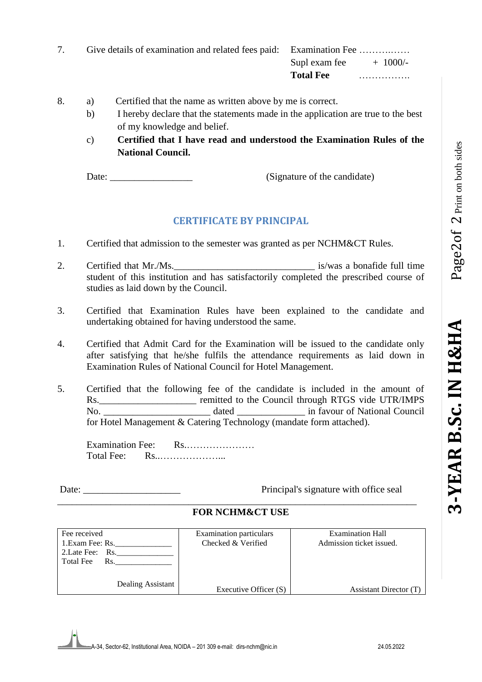| Give details of examination and related fees paid: Examination Fee |                  |            |
|--------------------------------------------------------------------|------------------|------------|
|                                                                    | Supl exam fee    | $+$ 1000/- |
|                                                                    | <b>Total Fee</b> | .          |

- 8. a) Certified that the name as written above by me is correct.
	- b) I hereby declare that the statements made in the application are true to the best of my knowledge and belief.
	- c) **Certified that I have read and understood the Examination Rules of the National Council.**

Date: (Signature of the candidate)

### **CERTIFICATE BY PRINCIPAL**

- 1. Certified that admission to the semester was granted as per NCHM&CT Rules.
- 2. Certified that Mr./Ms. is/was a bonafide full time student of this institution and has satisfactorily completed the prescribed course of studies as laid down by the Council.
- 3. Certified that Examination Rules have been explained to the candidate and undertaking obtained for having understood the same.
- 4. Certified that Admit Card for the Examination will be issued to the candidate only after satisfying that he/she fulfils the attendance requirements as laid down in Examination Rules of National Council for Hotel Management.
- 5. Certified that the following fee of the candidate is included in the amount of Rs. \_\_\_\_\_\_\_\_\_\_\_\_\_\_\_\_\_\_\_\_\_\_\_\_ remitted to the Council through RTGS vide UTR/IMPS No. \_\_\_\_\_\_\_\_\_\_\_\_\_\_\_\_\_\_\_\_\_\_ dated \_\_\_\_\_\_\_\_\_\_\_\_\_\_ in favour of National Council for Hotel Management & Catering Technology (mandate form attached).

Examination Fee: Rs.………………… Total Fee: Rs..………………...

Date: \_\_\_\_\_\_\_\_\_\_\_\_\_\_\_\_\_\_\_\_ Principal's signature with office seal

#### \_\_\_\_\_\_\_\_\_\_\_\_\_\_\_\_\_\_\_\_\_\_\_\_\_\_\_\_\_\_\_\_\_\_\_\_\_\_\_\_\_\_\_\_\_\_\_\_\_\_\_\_\_\_\_\_\_\_\_\_\_\_\_\_\_\_\_\_\_\_\_\_\_\_ **FOR NCHM&CT USE**

| Fee received            | <b>Examination particulars</b> | Examination Hall         |
|-------------------------|--------------------------------|--------------------------|
| 1. Exam Fee: Rs.        | Checked & Verified             | Admission ticket issued. |
| 2. Late Fee: Rs.        |                                |                          |
| <b>Total Fee</b><br>Rs. |                                |                          |
|                         |                                |                          |
| Dealing Assistant       |                                |                          |
|                         | Executive Officer (S)          | Assistant Director (T)   |